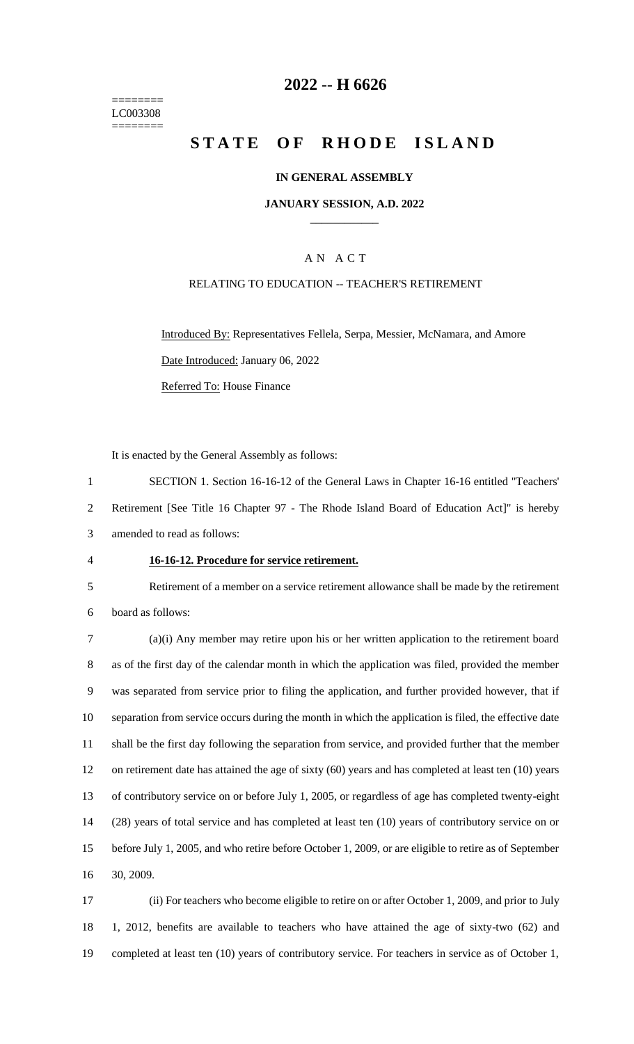======== LC003308 ========

## **-- H 6626**

# **STATE OF RHODE ISLAND**

### **IN GENERAL ASSEMBLY**

### **JANUARY SESSION, A.D. 2022 \_\_\_\_\_\_\_\_\_\_\_\_**

## A N A C T

### RELATING TO EDUCATION -- TEACHER'S RETIREMENT

Introduced By: Representatives Fellela, Serpa, Messier, McNamara, and Amore Date Introduced: January 06, 2022 Referred To: House Finance

It is enacted by the General Assembly as follows:

 SECTION 1. Section 16-16-12 of the General Laws in Chapter 16-16 entitled "Teachers' Retirement [See Title 16 Chapter 97 - The Rhode Island Board of Education Act]" is hereby amended to read as follows:

- 
- 

### **16-16-12. Procedure for service retirement.**

Retirement of a member on a service retirement allowance shall be made by the retirement

board as follows:

 (a)(i) Any member may retire upon his or her written application to the retirement board as of the first day of the calendar month in which the application was filed, provided the member was separated from service prior to filing the application, and further provided however, that if separation from service occurs during the month in which the application is filed, the effective date shall be the first day following the separation from service, and provided further that the member on retirement date has attained the age of sixty (60) years and has completed at least ten (10) years of contributory service on or before July 1, 2005, or regardless of age has completed twenty-eight (28) years of total service and has completed at least ten (10) years of contributory service on or before July 1, 2005, and who retire before October 1, 2009, or are eligible to retire as of September 30, 2009.

 (ii) For teachers who become eligible to retire on or after October 1, 2009, and prior to July 1, 2012, benefits are available to teachers who have attained the age of sixty-two (62) and completed at least ten (10) years of contributory service. For teachers in service as of October 1,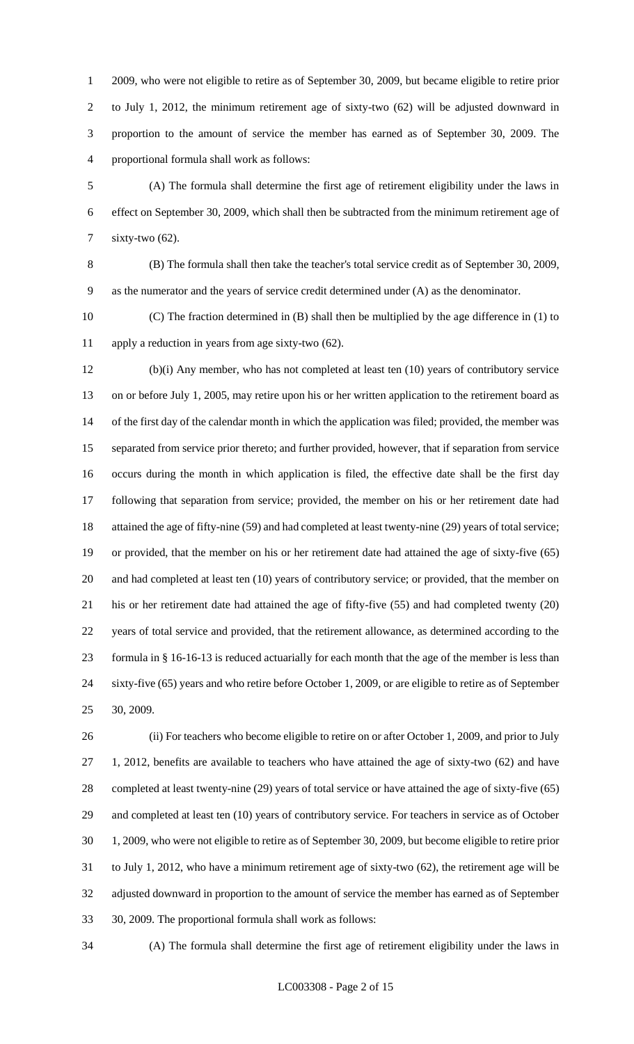2009, who were not eligible to retire as of September 30, 2009, but became eligible to retire prior to July 1, 2012, the minimum retirement age of sixty-two (62) will be adjusted downward in proportion to the amount of service the member has earned as of September 30, 2009. The proportional formula shall work as follows:

 (A) The formula shall determine the first age of retirement eligibility under the laws in effect on September 30, 2009, which shall then be subtracted from the minimum retirement age of sixty-two (62).

 (B) The formula shall then take the teacher's total service credit as of September 30, 2009, as the numerator and the years of service credit determined under (A) as the denominator.

 (C) The fraction determined in (B) shall then be multiplied by the age difference in (1) to apply a reduction in years from age sixty-two (62).

 (b)(i) Any member, who has not completed at least ten (10) years of contributory service on or before July 1, 2005, may retire upon his or her written application to the retirement board as of the first day of the calendar month in which the application was filed; provided, the member was separated from service prior thereto; and further provided, however, that if separation from service occurs during the month in which application is filed, the effective date shall be the first day following that separation from service; provided, the member on his or her retirement date had 18 attained the age of fifty-nine (59) and had completed at least twenty-nine (29) years of total service; or provided, that the member on his or her retirement date had attained the age of sixty-five (65) and had completed at least ten (10) years of contributory service; or provided, that the member on his or her retirement date had attained the age of fifty-five (55) and had completed twenty (20) years of total service and provided, that the retirement allowance, as determined according to the formula in § 16-16-13 is reduced actuarially for each month that the age of the member is less than sixty-five (65) years and who retire before October 1, 2009, or are eligible to retire as of September 30, 2009.

 (ii) For teachers who become eligible to retire on or after October 1, 2009, and prior to July 1, 2012, benefits are available to teachers who have attained the age of sixty-two (62) and have completed at least twenty-nine (29) years of total service or have attained the age of sixty-five (65) and completed at least ten (10) years of contributory service. For teachers in service as of October 1, 2009, who were not eligible to retire as of September 30, 2009, but become eligible to retire prior to July 1, 2012, who have a minimum retirement age of sixty-two (62), the retirement age will be adjusted downward in proportion to the amount of service the member has earned as of September 30, 2009. The proportional formula shall work as follows:

(A) The formula shall determine the first age of retirement eligibility under the laws in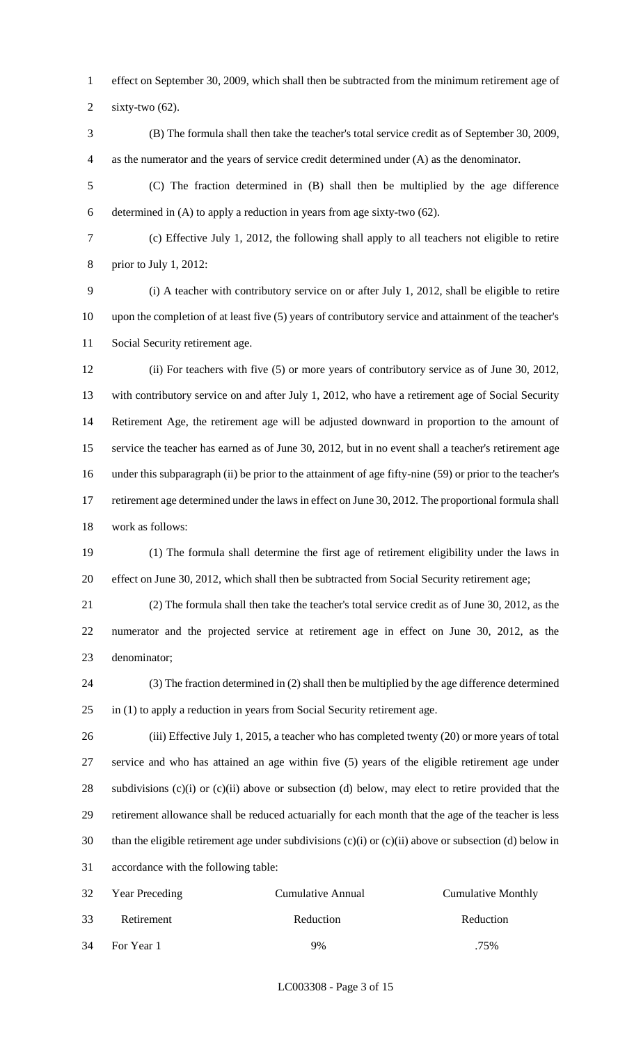effect on September 30, 2009, which shall then be subtracted from the minimum retirement age of

sixty-two (62).

 (B) The formula shall then take the teacher's total service credit as of September 30, 2009, as the numerator and the years of service credit determined under (A) as the denominator.

 (C) The fraction determined in (B) shall then be multiplied by the age difference determined in (A) to apply a reduction in years from age sixty-two (62).

 (c) Effective July 1, 2012, the following shall apply to all teachers not eligible to retire prior to July 1, 2012:

 (i) A teacher with contributory service on or after July 1, 2012, shall be eligible to retire upon the completion of at least five (5) years of contributory service and attainment of the teacher's Social Security retirement age.

 (ii) For teachers with five (5) or more years of contributory service as of June 30, 2012, with contributory service on and after July 1, 2012, who have a retirement age of Social Security Retirement Age, the retirement age will be adjusted downward in proportion to the amount of service the teacher has earned as of June 30, 2012, but in no event shall a teacher's retirement age under this subparagraph (ii) be prior to the attainment of age fifty-nine (59) or prior to the teacher's retirement age determined under the laws in effect on June 30, 2012. The proportional formula shall work as follows:

 (1) The formula shall determine the first age of retirement eligibility under the laws in effect on June 30, 2012, which shall then be subtracted from Social Security retirement age;

 (2) The formula shall then take the teacher's total service credit as of June 30, 2012, as the numerator and the projected service at retirement age in effect on June 30, 2012, as the denominator;

 (3) The fraction determined in (2) shall then be multiplied by the age difference determined in (1) to apply a reduction in years from Social Security retirement age.

 (iii) Effective July 1, 2015, a teacher who has completed twenty (20) or more years of total service and who has attained an age within five (5) years of the eligible retirement age under subdivisions (c)(i) or (c)(ii) above or subsection (d) below, may elect to retire provided that the retirement allowance shall be reduced actuarially for each month that the age of the teacher is less than the eligible retirement age under subdivisions (c)(i) or (c)(ii) above or subsection (d) below in accordance with the following table:

| 32 | <b>Year Preceding</b> | Cumulative Annual | <b>Cumulative Monthly</b> |
|----|-----------------------|-------------------|---------------------------|
| 33 | Retirement            | Reduction         | Reduction                 |
| 34 | For Year 1            | 9%                | .75%                      |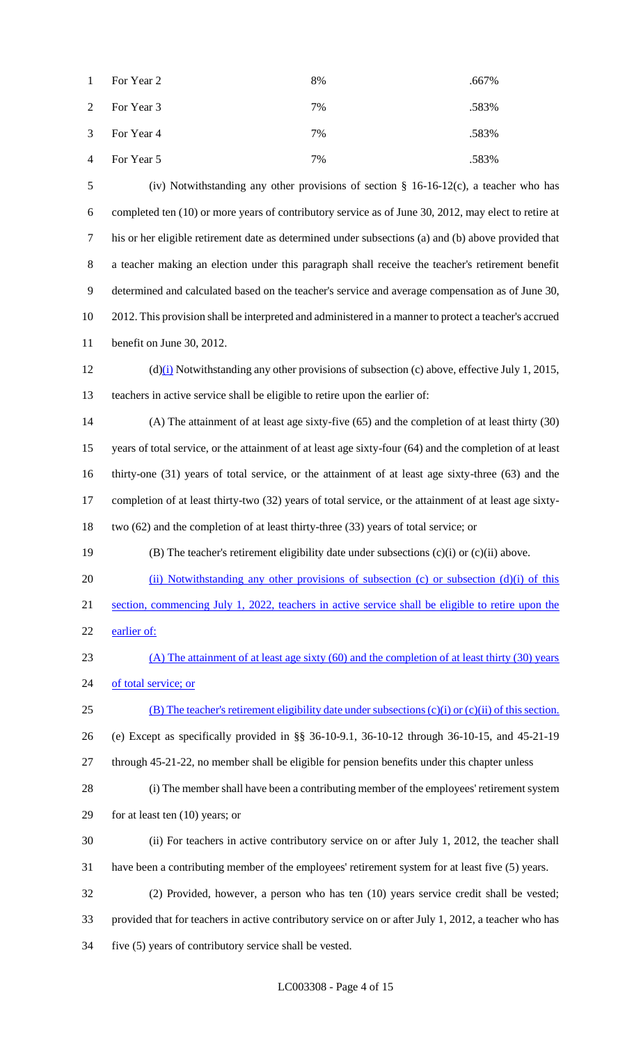| $\mathbf{1}$   | For Year 2   | 8% | .667% |
|----------------|--------------|----|-------|
|                | 2 For Year 3 | 7% | .583% |
|                | 3 For Year 4 | 7% | .583% |
| $\overline{4}$ | For Year 5   | 7% | .583% |

 (iv) Notwithstanding any other provisions of section § 16-16-12(c), a teacher who has completed ten (10) or more years of contributory service as of June 30, 2012, may elect to retire at his or her eligible retirement date as determined under subsections (a) and (b) above provided that a teacher making an election under this paragraph shall receive the teacher's retirement benefit determined and calculated based on the teacher's service and average compensation as of June 30, 2012. This provision shall be interpreted and administered in a manner to protect a teacher's accrued benefit on June 30, 2012.

 (d)(i) Notwithstanding any other provisions of subsection (c) above, effective July 1, 2015, teachers in active service shall be eligible to retire upon the earlier of:

 (A) The attainment of at least age sixty-five (65) and the completion of at least thirty (30) years of total service, or the attainment of at least age sixty-four (64) and the completion of at least thirty-one (31) years of total service, or the attainment of at least age sixty-three (63) and the completion of at least thirty-two (32) years of total service, or the attainment of at least age sixty-two (62) and the completion of at least thirty-three (33) years of total service; or

(B) The teacher's retirement eligibility date under subsections (c)(i) or (c)(ii) above.

20 (ii) Notwithstanding any other provisions of subsection (c) or subsection (d)(i) of this section, commencing July 1, 2022, teachers in active service shall be eligible to retire upon the earlier of:

 (A) The attainment of at least age sixty (60) and the completion of at least thirty (30) years 24 of total service; or

(B) The teacher's retirement eligibility date under subsections (c)(i) or (c)(ii) of this section.

(e) Except as specifically provided in §§ 36-10-9.1, 36-10-12 through 36-10-15, and 45-21-19

through 45-21-22, no member shall be eligible for pension benefits under this chapter unless

(i) The member shall have been a contributing member of the employees' retirement system

for at least ten (10) years; or

- (ii) For teachers in active contributory service on or after July 1, 2012, the teacher shall have been a contributing member of the employees' retirement system for at least five (5) years.
- (2) Provided, however, a person who has ten (10) years service credit shall be vested; provided that for teachers in active contributory service on or after July 1, 2012, a teacher who has five (5) years of contributory service shall be vested.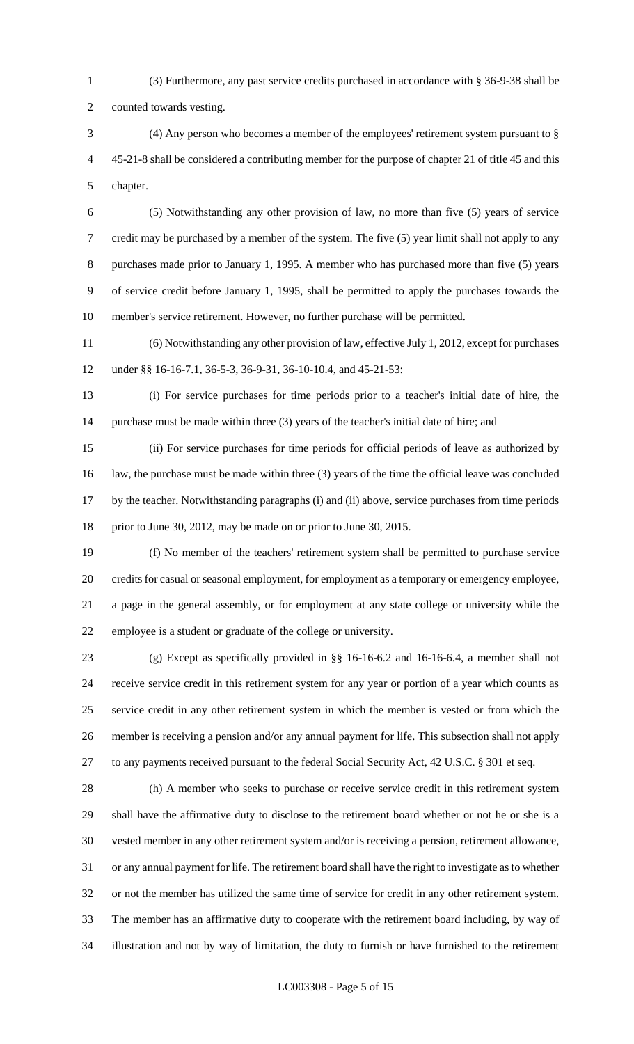(3) Furthermore, any past service credits purchased in accordance with § 36-9-38 shall be counted towards vesting.

 (4) Any person who becomes a member of the employees' retirement system pursuant to § 45-21-8 shall be considered a contributing member for the purpose of chapter 21 of title 45 and this chapter.

 (5) Notwithstanding any other provision of law, no more than five (5) years of service credit may be purchased by a member of the system. The five (5) year limit shall not apply to any purchases made prior to January 1, 1995. A member who has purchased more than five (5) years of service credit before January 1, 1995, shall be permitted to apply the purchases towards the member's service retirement. However, no further purchase will be permitted.

 (6) Notwithstanding any other provision of law, effective July 1, 2012, except for purchases under §§ 16-16-7.1, 36-5-3, 36-9-31, 36-10-10.4, and 45-21-53:

 (i) For service purchases for time periods prior to a teacher's initial date of hire, the 14 purchase must be made within three (3) years of the teacher's initial date of hire; and

 (ii) For service purchases for time periods for official periods of leave as authorized by law, the purchase must be made within three (3) years of the time the official leave was concluded by the teacher. Notwithstanding paragraphs (i) and (ii) above, service purchases from time periods prior to June 30, 2012, may be made on or prior to June 30, 2015.

 (f) No member of the teachers' retirement system shall be permitted to purchase service credits for casual or seasonal employment, for employment as a temporary or emergency employee, a page in the general assembly, or for employment at any state college or university while the employee is a student or graduate of the college or university.

 (g) Except as specifically provided in §§ 16-16-6.2 and 16-16-6.4, a member shall not receive service credit in this retirement system for any year or portion of a year which counts as service credit in any other retirement system in which the member is vested or from which the member is receiving a pension and/or any annual payment for life. This subsection shall not apply to any payments received pursuant to the federal Social Security Act, 42 U.S.C. § 301 et seq.

 (h) A member who seeks to purchase or receive service credit in this retirement system shall have the affirmative duty to disclose to the retirement board whether or not he or she is a vested member in any other retirement system and/or is receiving a pension, retirement allowance, or any annual payment for life. The retirement board shall have the right to investigate as to whether or not the member has utilized the same time of service for credit in any other retirement system. The member has an affirmative duty to cooperate with the retirement board including, by way of illustration and not by way of limitation, the duty to furnish or have furnished to the retirement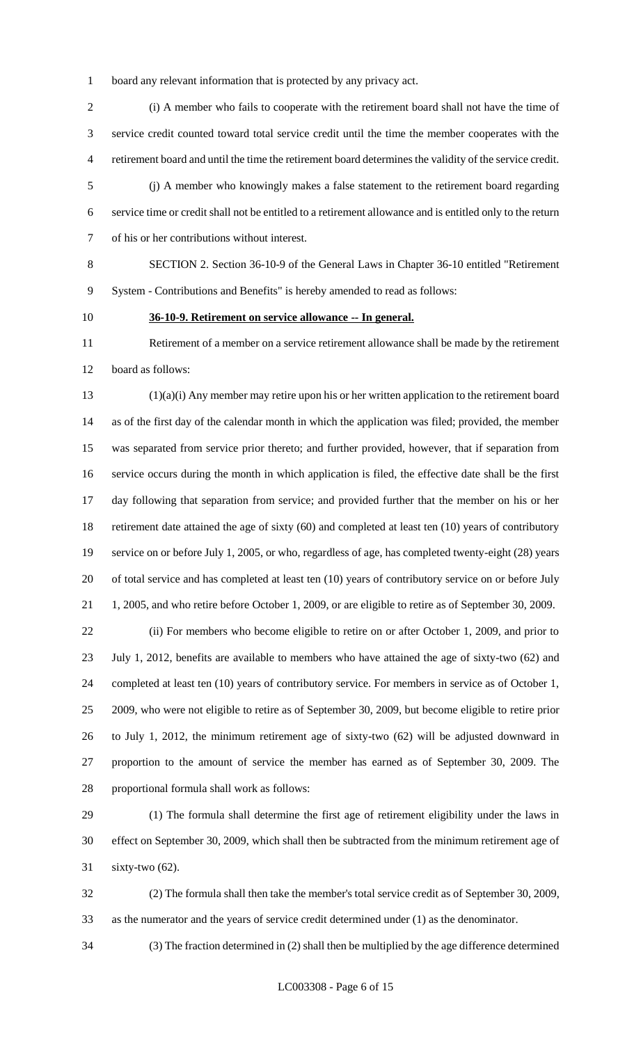board any relevant information that is protected by any privacy act.

 (i) A member who fails to cooperate with the retirement board shall not have the time of service credit counted toward total service credit until the time the member cooperates with the retirement board and until the time the retirement board determines the validity of the service credit.

 (j) A member who knowingly makes a false statement to the retirement board regarding service time or credit shall not be entitled to a retirement allowance and is entitled only to the return of his or her contributions without interest.

 SECTION 2. Section 36-10-9 of the General Laws in Chapter 36-10 entitled "Retirement System - Contributions and Benefits" is hereby amended to read as follows:

## **36-10-9. Retirement on service allowance -- In general.**

 Retirement of a member on a service retirement allowance shall be made by the retirement board as follows:

 (1)(a)(i) Any member may retire upon his or her written application to the retirement board as of the first day of the calendar month in which the application was filed; provided, the member was separated from service prior thereto; and further provided, however, that if separation from service occurs during the month in which application is filed, the effective date shall be the first day following that separation from service; and provided further that the member on his or her retirement date attained the age of sixty (60) and completed at least ten (10) years of contributory service on or before July 1, 2005, or who, regardless of age, has completed twenty-eight (28) years of total service and has completed at least ten (10) years of contributory service on or before July 1, 2005, and who retire before October 1, 2009, or are eligible to retire as of September 30, 2009.

 (ii) For members who become eligible to retire on or after October 1, 2009, and prior to July 1, 2012, benefits are available to members who have attained the age of sixty-two (62) and completed at least ten (10) years of contributory service. For members in service as of October 1, 2009, who were not eligible to retire as of September 30, 2009, but become eligible to retire prior to July 1, 2012, the minimum retirement age of sixty-two (62) will be adjusted downward in proportion to the amount of service the member has earned as of September 30, 2009. The proportional formula shall work as follows:

 (1) The formula shall determine the first age of retirement eligibility under the laws in effect on September 30, 2009, which shall then be subtracted from the minimum retirement age of sixty-two (62).

 (2) The formula shall then take the member's total service credit as of September 30, 2009, as the numerator and the years of service credit determined under (1) as the denominator.

(3) The fraction determined in (2) shall then be multiplied by the age difference determined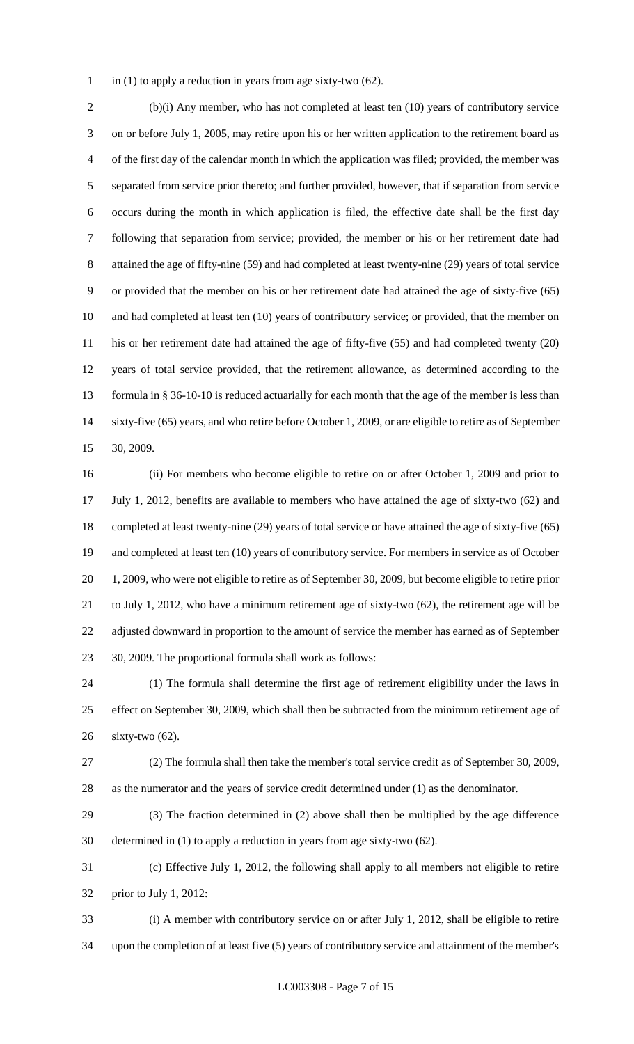1 in (1) to apply a reduction in years from age sixty-two  $(62)$ .

 (b)(i) Any member, who has not completed at least ten (10) years of contributory service on or before July 1, 2005, may retire upon his or her written application to the retirement board as of the first day of the calendar month in which the application was filed; provided, the member was separated from service prior thereto; and further provided, however, that if separation from service occurs during the month in which application is filed, the effective date shall be the first day following that separation from service; provided, the member or his or her retirement date had attained the age of fifty-nine (59) and had completed at least twenty-nine (29) years of total service or provided that the member on his or her retirement date had attained the age of sixty-five (65) and had completed at least ten (10) years of contributory service; or provided, that the member on his or her retirement date had attained the age of fifty-five (55) and had completed twenty (20) years of total service provided, that the retirement allowance, as determined according to the 13 formula in § 36-10-10 is reduced actuarially for each month that the age of the member is less than sixty-five (65) years, and who retire before October 1, 2009, or are eligible to retire as of September 30, 2009.

 (ii) For members who become eligible to retire on or after October 1, 2009 and prior to July 1, 2012, benefits are available to members who have attained the age of sixty-two (62) and completed at least twenty-nine (29) years of total service or have attained the age of sixty-five (65) and completed at least ten (10) years of contributory service. For members in service as of October 1, 2009, who were not eligible to retire as of September 30, 2009, but become eligible to retire prior to July 1, 2012, who have a minimum retirement age of sixty-two (62), the retirement age will be adjusted downward in proportion to the amount of service the member has earned as of September 30, 2009. The proportional formula shall work as follows:

 (1) The formula shall determine the first age of retirement eligibility under the laws in effect on September 30, 2009, which shall then be subtracted from the minimum retirement age of sixty-two (62).

 (2) The formula shall then take the member's total service credit as of September 30, 2009, as the numerator and the years of service credit determined under (1) as the denominator.

 (3) The fraction determined in (2) above shall then be multiplied by the age difference determined in (1) to apply a reduction in years from age sixty-two (62).

 (c) Effective July 1, 2012, the following shall apply to all members not eligible to retire prior to July 1, 2012:

 (i) A member with contributory service on or after July 1, 2012, shall be eligible to retire upon the completion of at least five (5) years of contributory service and attainment of the member's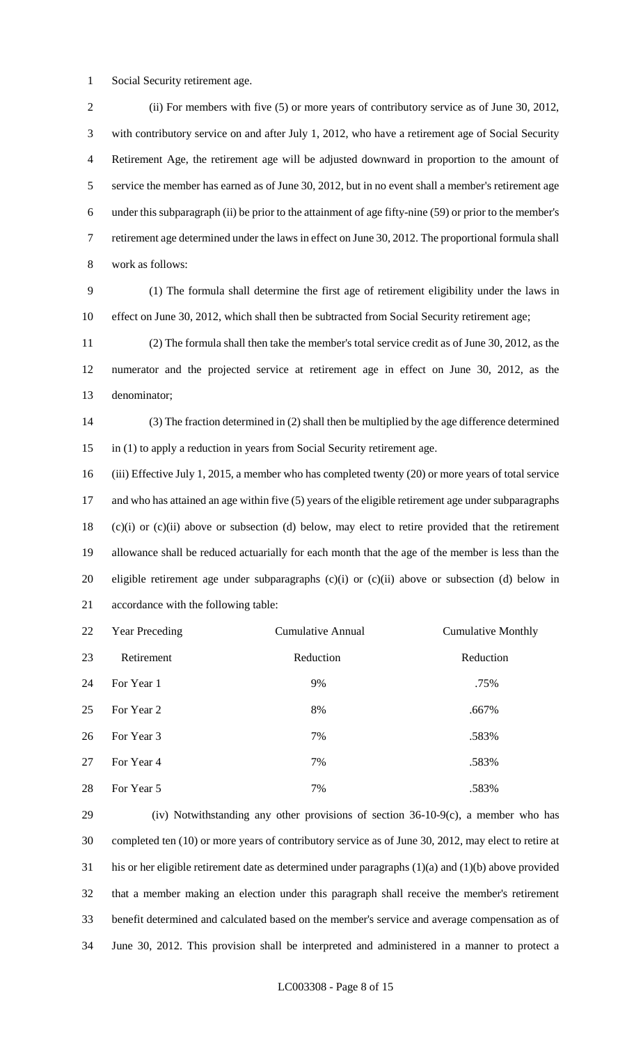Social Security retirement age.

 (ii) For members with five (5) or more years of contributory service as of June 30, 2012, with contributory service on and after July 1, 2012, who have a retirement age of Social Security Retirement Age, the retirement age will be adjusted downward in proportion to the amount of service the member has earned as of June 30, 2012, but in no event shall a member's retirement age under this subparagraph (ii) be prior to the attainment of age fifty-nine (59) or prior to the member's retirement age determined under the laws in effect on June 30, 2012. The proportional formula shall work as follows:

 (1) The formula shall determine the first age of retirement eligibility under the laws in 10 effect on June 30, 2012, which shall then be subtracted from Social Security retirement age;

 (2) The formula shall then take the member's total service credit as of June 30, 2012, as the numerator and the projected service at retirement age in effect on June 30, 2012, as the denominator;

 (3) The fraction determined in (2) shall then be multiplied by the age difference determined in (1) to apply a reduction in years from Social Security retirement age.

 (iii) Effective July 1, 2015, a member who has completed twenty (20) or more years of total service and who has attained an age within five (5) years of the eligible retirement age under subparagraphs (c)(i) or (c)(ii) above or subsection (d) below, may elect to retire provided that the retirement allowance shall be reduced actuarially for each month that the age of the member is less than the eligible retirement age under subparagraphs (c)(i) or (c)(ii) above or subsection (d) below in accordance with the following table:

| 22 | <b>Year Preceding</b> | Cumulative Annual | <b>Cumulative Monthly</b> |
|----|-----------------------|-------------------|---------------------------|
| 23 | Retirement            | Reduction         | Reduction                 |
| 24 | For Year 1            | 9%                | .75%                      |
| 25 | For Year 2            | 8%                | .667%                     |
| 26 | For Year 3            | 7%                | .583%                     |
| 27 | For Year 4            | 7%                | .583%                     |
| 28 | For Year 5            | 7%                | .583%                     |

 (iv) Notwithstanding any other provisions of section 36-10-9(c), a member who has completed ten (10) or more years of contributory service as of June 30, 2012, may elect to retire at his or her eligible retirement date as determined under paragraphs (1)(a) and (1)(b) above provided that a member making an election under this paragraph shall receive the member's retirement benefit determined and calculated based on the member's service and average compensation as of June 30, 2012. This provision shall be interpreted and administered in a manner to protect a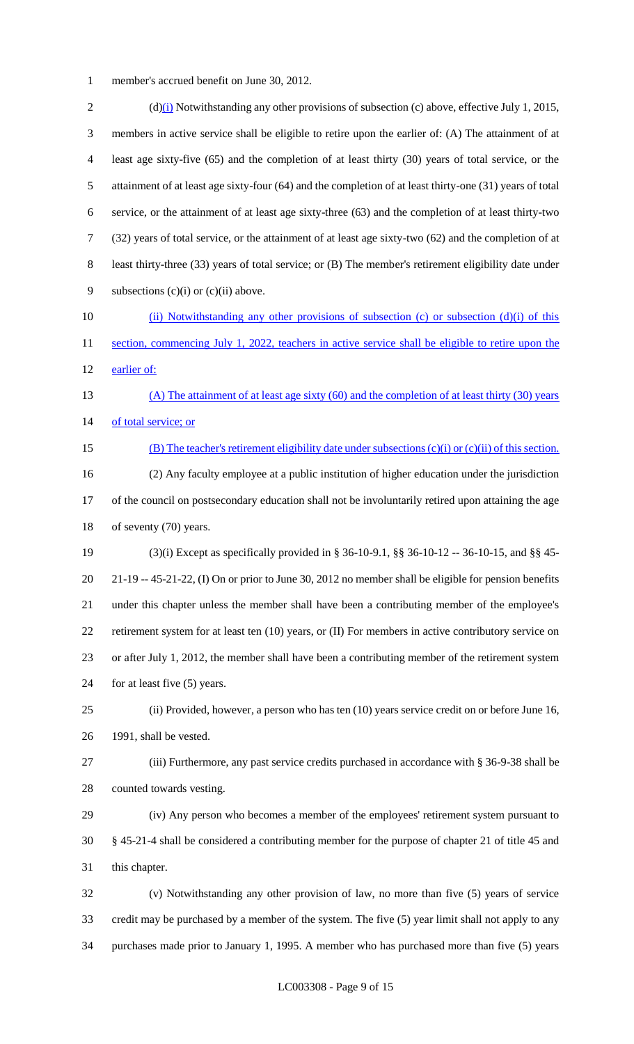member's accrued benefit on June 30, 2012.

2 (d)(i) Notwithstanding any other provisions of subsection (c) above, effective July 1, 2015, members in active service shall be eligible to retire upon the earlier of: (A) The attainment of at least age sixty-five (65) and the completion of at least thirty (30) years of total service, or the attainment of at least age sixty-four (64) and the completion of at least thirty-one (31) years of total service, or the attainment of at least age sixty-three (63) and the completion of at least thirty-two (32) years of total service, or the attainment of at least age sixty-two (62) and the completion of at least thirty-three (33) years of total service; or (B) The member's retirement eligibility date under 9 subsections (c)(i) or (c)(ii) above. 10 (ii) Notwithstanding any other provisions of subsection (c) or subsection (d)(i) of this 11 section, commencing July 1, 2022, teachers in active service shall be eligible to retire upon the earlier of: (A) The attainment of at least age sixty (60) and the completion of at least thirty (30) years 14 of total service; or (B) The teacher's retirement eligibility date under subsections (c)(i) or (c)(ii) of this section. (2) Any faculty employee at a public institution of higher education under the jurisdiction of the council on postsecondary education shall not be involuntarily retired upon attaining the age of seventy (70) years. (3)(i) Except as specifically provided in § 36-10-9.1, §§ 36-10-12 -- 36-10-15, and §§ 45- 21-19 -- 45-21-22, (I) On or prior to June 30, 2012 no member shall be eligible for pension benefits under this chapter unless the member shall have been a contributing member of the employee's retirement system for at least ten (10) years, or (II) For members in active contributory service on or after July 1, 2012, the member shall have been a contributing member of the retirement system for at least five (5) years. (ii) Provided, however, a person who has ten (10) years service credit on or before June 16, 1991, shall be vested. (iii) Furthermore, any past service credits purchased in accordance with § 36-9-38 shall be counted towards vesting. (iv) Any person who becomes a member of the employees' retirement system pursuant to § 45-21-4 shall be considered a contributing member for the purpose of chapter 21 of title 45 and this chapter. (v) Notwithstanding any other provision of law, no more than five (5) years of service credit may be purchased by a member of the system. The five (5) year limit shall not apply to any

purchases made prior to January 1, 1995. A member who has purchased more than five (5) years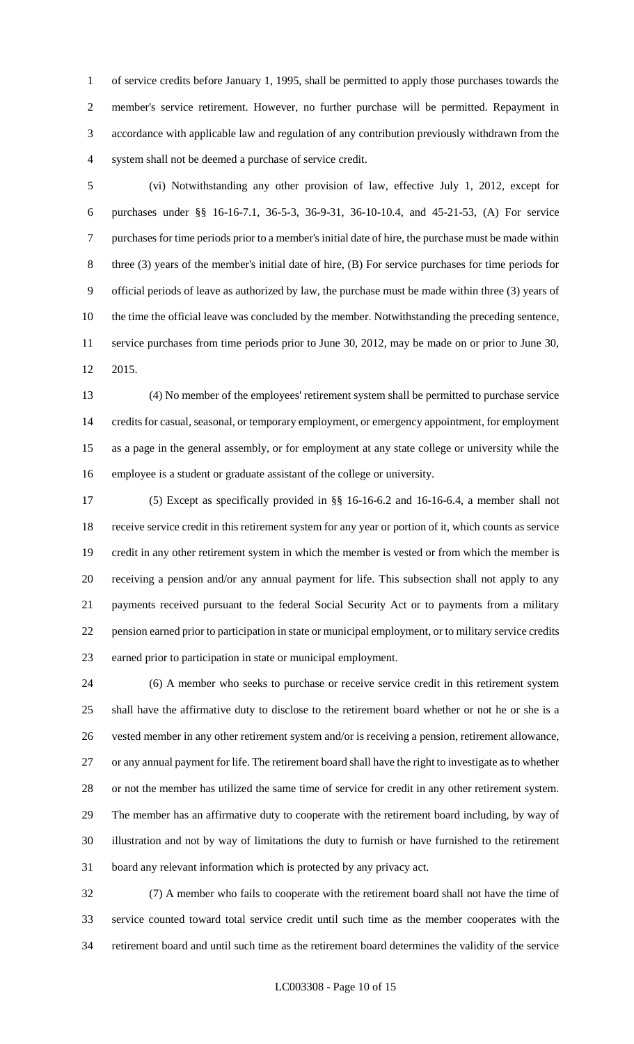of service credits before January 1, 1995, shall be permitted to apply those purchases towards the member's service retirement. However, no further purchase will be permitted. Repayment in accordance with applicable law and regulation of any contribution previously withdrawn from the system shall not be deemed a purchase of service credit.

 (vi) Notwithstanding any other provision of law, effective July 1, 2012, except for purchases under §§ 16-16-7.1, 36-5-3, 36-9-31, 36-10-10.4, and 45-21-53, (A) For service purchases for time periods prior to a member's initial date of hire, the purchase must be made within three (3) years of the member's initial date of hire, (B) For service purchases for time periods for official periods of leave as authorized by law, the purchase must be made within three (3) years of the time the official leave was concluded by the member. Notwithstanding the preceding sentence, service purchases from time periods prior to June 30, 2012, may be made on or prior to June 30, 2015.

 (4) No member of the employees' retirement system shall be permitted to purchase service credits for casual, seasonal, or temporary employment, or emergency appointment, for employment as a page in the general assembly, or for employment at any state college or university while the employee is a student or graduate assistant of the college or university.

 (5) Except as specifically provided in §§ 16-16-6.2 and 16-16-6.4, a member shall not receive service credit in this retirement system for any year or portion of it, which counts as service credit in any other retirement system in which the member is vested or from which the member is receiving a pension and/or any annual payment for life. This subsection shall not apply to any payments received pursuant to the federal Social Security Act or to payments from a military pension earned prior to participation in state or municipal employment, or to military service credits earned prior to participation in state or municipal employment.

 (6) A member who seeks to purchase or receive service credit in this retirement system shall have the affirmative duty to disclose to the retirement board whether or not he or she is a vested member in any other retirement system and/or is receiving a pension, retirement allowance, or any annual payment for life. The retirement board shall have the right to investigate as to whether or not the member has utilized the same time of service for credit in any other retirement system. The member has an affirmative duty to cooperate with the retirement board including, by way of illustration and not by way of limitations the duty to furnish or have furnished to the retirement board any relevant information which is protected by any privacy act.

 (7) A member who fails to cooperate with the retirement board shall not have the time of service counted toward total service credit until such time as the member cooperates with the retirement board and until such time as the retirement board determines the validity of the service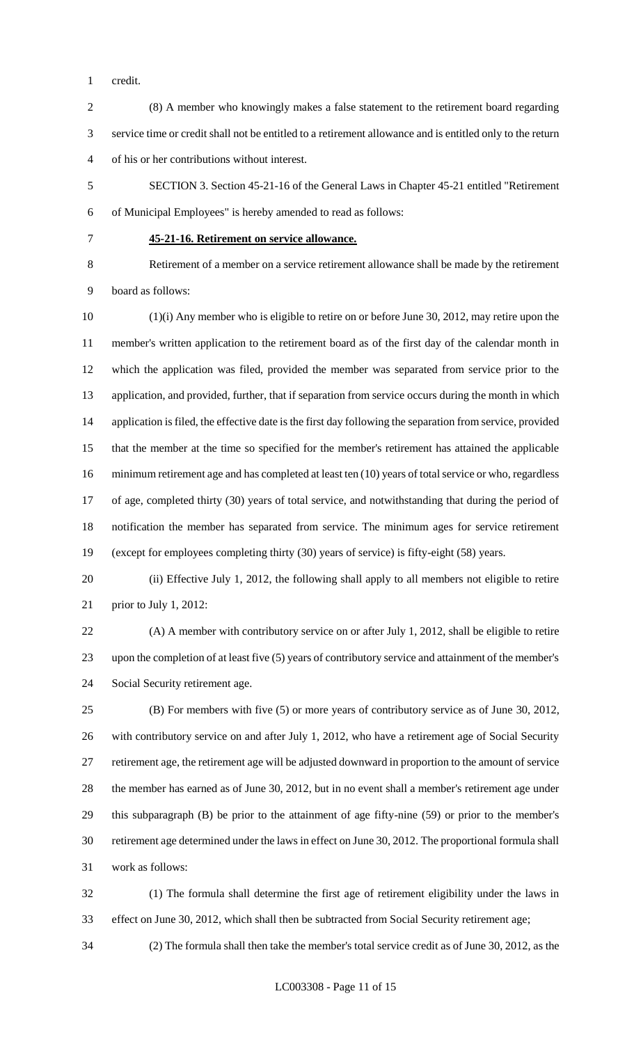credit.

- (8) A member who knowingly makes a false statement to the retirement board regarding service time or credit shall not be entitled to a retirement allowance and is entitled only to the return of his or her contributions without interest.
- SECTION 3. Section 45-21-16 of the General Laws in Chapter 45-21 entitled "Retirement of Municipal Employees" is hereby amended to read as follows:
- 

#### **45-21-16. Retirement on service allowance.**

 Retirement of a member on a service retirement allowance shall be made by the retirement board as follows:

 (1)(i) Any member who is eligible to retire on or before June 30, 2012, may retire upon the member's written application to the retirement board as of the first day of the calendar month in which the application was filed, provided the member was separated from service prior to the application, and provided, further, that if separation from service occurs during the month in which application is filed, the effective date is the first day following the separation from service, provided that the member at the time so specified for the member's retirement has attained the applicable minimum retirement age and has completed at least ten (10) years of total service or who, regardless of age, completed thirty (30) years of total service, and notwithstanding that during the period of notification the member has separated from service. The minimum ages for service retirement (except for employees completing thirty (30) years of service) is fifty-eight (58) years.

 (ii) Effective July 1, 2012, the following shall apply to all members not eligible to retire prior to July 1, 2012:

 (A) A member with contributory service on or after July 1, 2012, shall be eligible to retire upon the completion of at least five (5) years of contributory service and attainment of the member's Social Security retirement age.

 (B) For members with five (5) or more years of contributory service as of June 30, 2012, with contributory service on and after July 1, 2012, who have a retirement age of Social Security retirement age, the retirement age will be adjusted downward in proportion to the amount of service the member has earned as of June 30, 2012, but in no event shall a member's retirement age under this subparagraph (B) be prior to the attainment of age fifty-nine (59) or prior to the member's retirement age determined under the laws in effect on June 30, 2012. The proportional formula shall work as follows:

 (1) The formula shall determine the first age of retirement eligibility under the laws in effect on June 30, 2012, which shall then be subtracted from Social Security retirement age;

(2) The formula shall then take the member's total service credit as of June 30, 2012, as the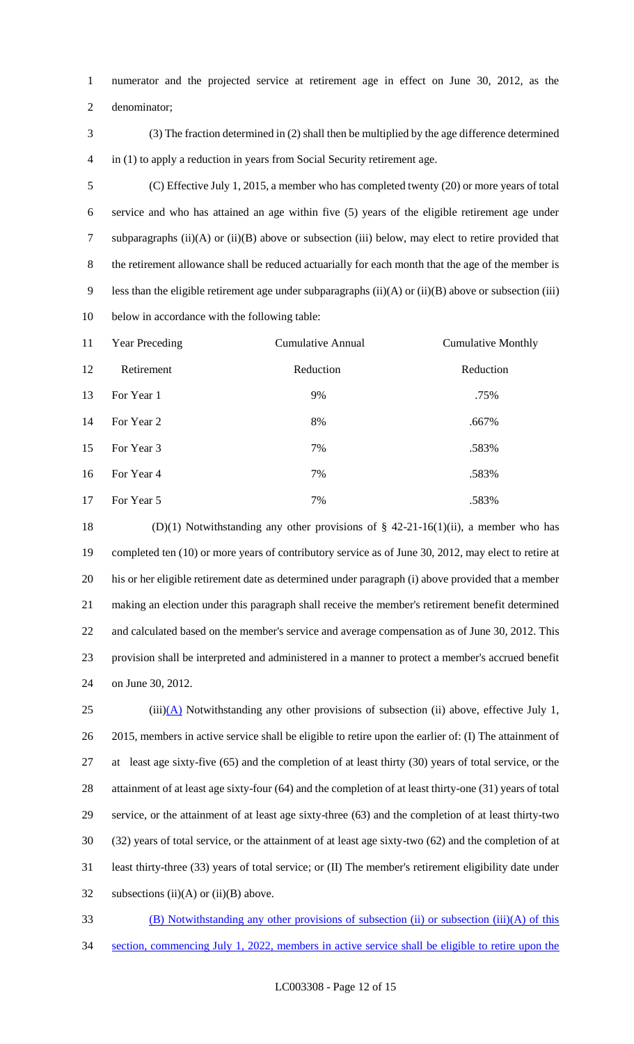numerator and the projected service at retirement age in effect on June 30, 2012, as the

denominator;

 (3) The fraction determined in (2) shall then be multiplied by the age difference determined in (1) to apply a reduction in years from Social Security retirement age.

 (C) Effective July 1, 2015, a member who has completed twenty (20) or more years of total service and who has attained an age within five (5) years of the eligible retirement age under subparagraphs (ii)(A) or (ii)(B) above or subsection (iii) below, may elect to retire provided that the retirement allowance shall be reduced actuarially for each month that the age of the member is less than the eligible retirement age under subparagraphs (ii)(A) or (ii)(B) above or subsection (iii) below in accordance with the following table:

| 11 | <b>Year Preceding</b> | <b>Cumulative Annual</b> | <b>Cumulative Monthly</b> |
|----|-----------------------|--------------------------|---------------------------|
| 12 | Retirement            | Reduction                | Reduction                 |
| 13 | For Year 1            | 9%                       | .75%                      |
| 14 | For Year 2            | 8%                       | .667%                     |
| 15 | For Year 3            | 7%                       | .583%                     |
| 16 | For Year 4            | 7%                       | .583%                     |
| 17 | For Year 5            | 7%                       | .583%                     |

 (D)(1) Notwithstanding any other provisions of § 42-21-16(1)(ii), a member who has completed ten (10) or more years of contributory service as of June 30, 2012, may elect to retire at his or her eligible retirement date as determined under paragraph (i) above provided that a member making an election under this paragraph shall receive the member's retirement benefit determined and calculated based on the member's service and average compensation as of June 30, 2012. This provision shall be interpreted and administered in a manner to protect a member's accrued benefit on June 30, 2012.

 (iii)(A) Notwithstanding any other provisions of subsection (ii) above, effective July 1, 26 2015, members in active service shall be eligible to retire upon the earlier of: (I) The attainment of at least age sixty-five (65) and the completion of at least thirty (30) years of total service, or the attainment of at least age sixty-four (64) and the completion of at least thirty-one (31) years of total service, or the attainment of at least age sixty-three (63) and the completion of at least thirty-two (32) years of total service, or the attainment of at least age sixty-two (62) and the completion of at least thirty-three (33) years of total service; or (II) The member's retirement eligibility date under 32 subsections  $(ii)(A)$  or  $(ii)(B)$  above.

- (B) Notwithstanding any other provisions of subsection (ii) or subsection (iii)(A) of this
- section, commencing July 1, 2022, members in active service shall be eligible to retire upon the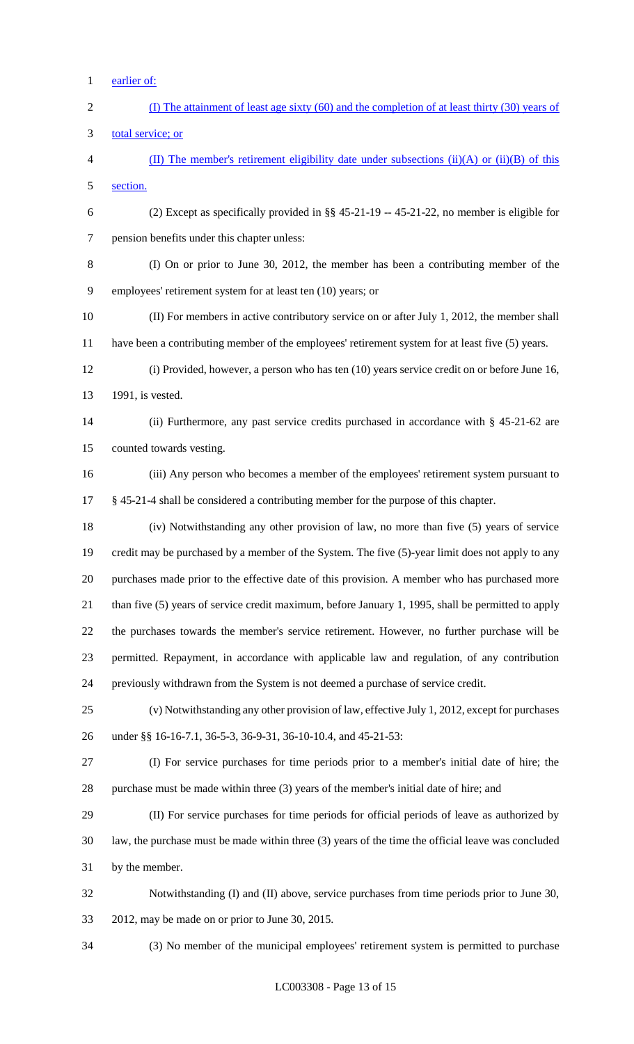- earlier of:
- (I) The attainment of least age sixty (60) and the completion of at least thirty (30) years of total service; or 4 (II) The member's retirement eligibility date under subsections (ii)(A) or (ii)(B) of this section. (2) Except as specifically provided in §§ 45-21-19 -- 45-21-22, no member is eligible for pension benefits under this chapter unless: (I) On or prior to June 30, 2012, the member has been a contributing member of the employees' retirement system for at least ten (10) years; or (II) For members in active contributory service on or after July 1, 2012, the member shall have been a contributing member of the employees' retirement system for at least five (5) years. (i) Provided, however, a person who has ten (10) years service credit on or before June 16, 1991, is vested. (ii) Furthermore, any past service credits purchased in accordance with § 45-21-62 are counted towards vesting. (iii) Any person who becomes a member of the employees' retirement system pursuant to § 45-21-4 shall be considered a contributing member for the purpose of this chapter. (iv) Notwithstanding any other provision of law, no more than five (5) years of service credit may be purchased by a member of the System. The five (5)-year limit does not apply to any purchases made prior to the effective date of this provision. A member who has purchased more than five (5) years of service credit maximum, before January 1, 1995, shall be permitted to apply the purchases towards the member's service retirement. However, no further purchase will be permitted. Repayment, in accordance with applicable law and regulation, of any contribution previously withdrawn from the System is not deemed a purchase of service credit. (v) Notwithstanding any other provision of law, effective July 1, 2012, except for purchases under §§ 16-16-7.1, 36-5-3, 36-9-31, 36-10-10.4, and 45-21-53: (I) For service purchases for time periods prior to a member's initial date of hire; the purchase must be made within three (3) years of the member's initial date of hire; and (II) For service purchases for time periods for official periods of leave as authorized by law, the purchase must be made within three (3) years of the time the official leave was concluded by the member. Notwithstanding (I) and (II) above, service purchases from time periods prior to June 30, 2012, may be made on or prior to June 30, 2015.

(3) No member of the municipal employees' retirement system is permitted to purchase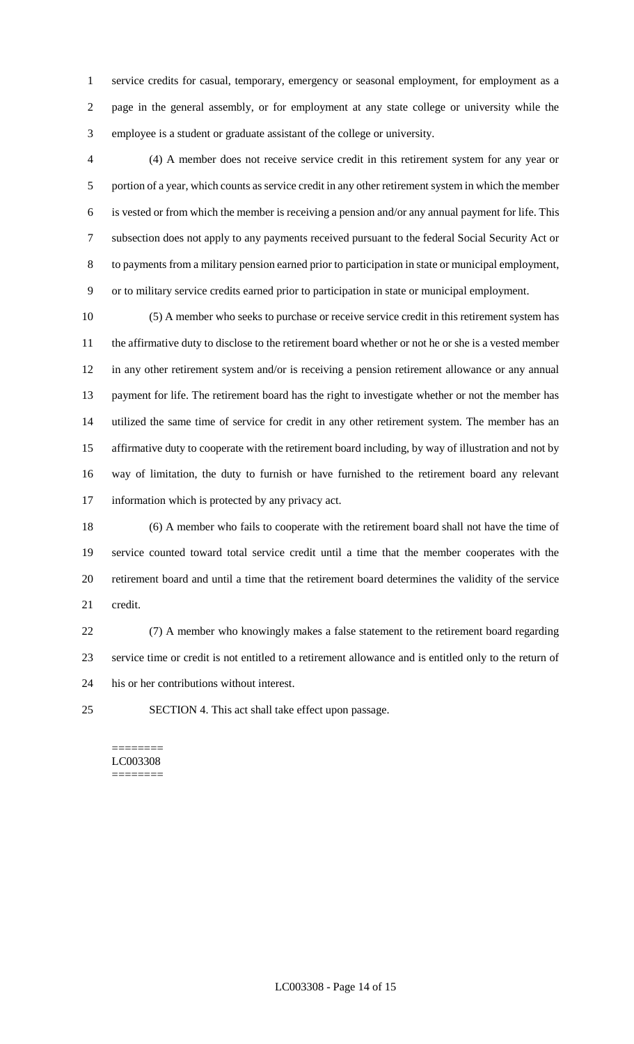service credits for casual, temporary, emergency or seasonal employment, for employment as a page in the general assembly, or for employment at any state college or university while the employee is a student or graduate assistant of the college or university.

 (4) A member does not receive service credit in this retirement system for any year or portion of a year, which counts as service credit in any other retirement system in which the member is vested or from which the member is receiving a pension and/or any annual payment for life. This subsection does not apply to any payments received pursuant to the federal Social Security Act or to payments from a military pension earned prior to participation in state or municipal employment, or to military service credits earned prior to participation in state or municipal employment.

 (5) A member who seeks to purchase or receive service credit in this retirement system has the affirmative duty to disclose to the retirement board whether or not he or she is a vested member in any other retirement system and/or is receiving a pension retirement allowance or any annual payment for life. The retirement board has the right to investigate whether or not the member has utilized the same time of service for credit in any other retirement system. The member has an affirmative duty to cooperate with the retirement board including, by way of illustration and not by way of limitation, the duty to furnish or have furnished to the retirement board any relevant information which is protected by any privacy act.

 (6) A member who fails to cooperate with the retirement board shall not have the time of service counted toward total service credit until a time that the member cooperates with the retirement board and until a time that the retirement board determines the validity of the service credit.

 (7) A member who knowingly makes a false statement to the retirement board regarding service time or credit is not entitled to a retirement allowance and is entitled only to the return of his or her contributions without interest.

SECTION 4. This act shall take effect upon passage.

======== LC003308 ========